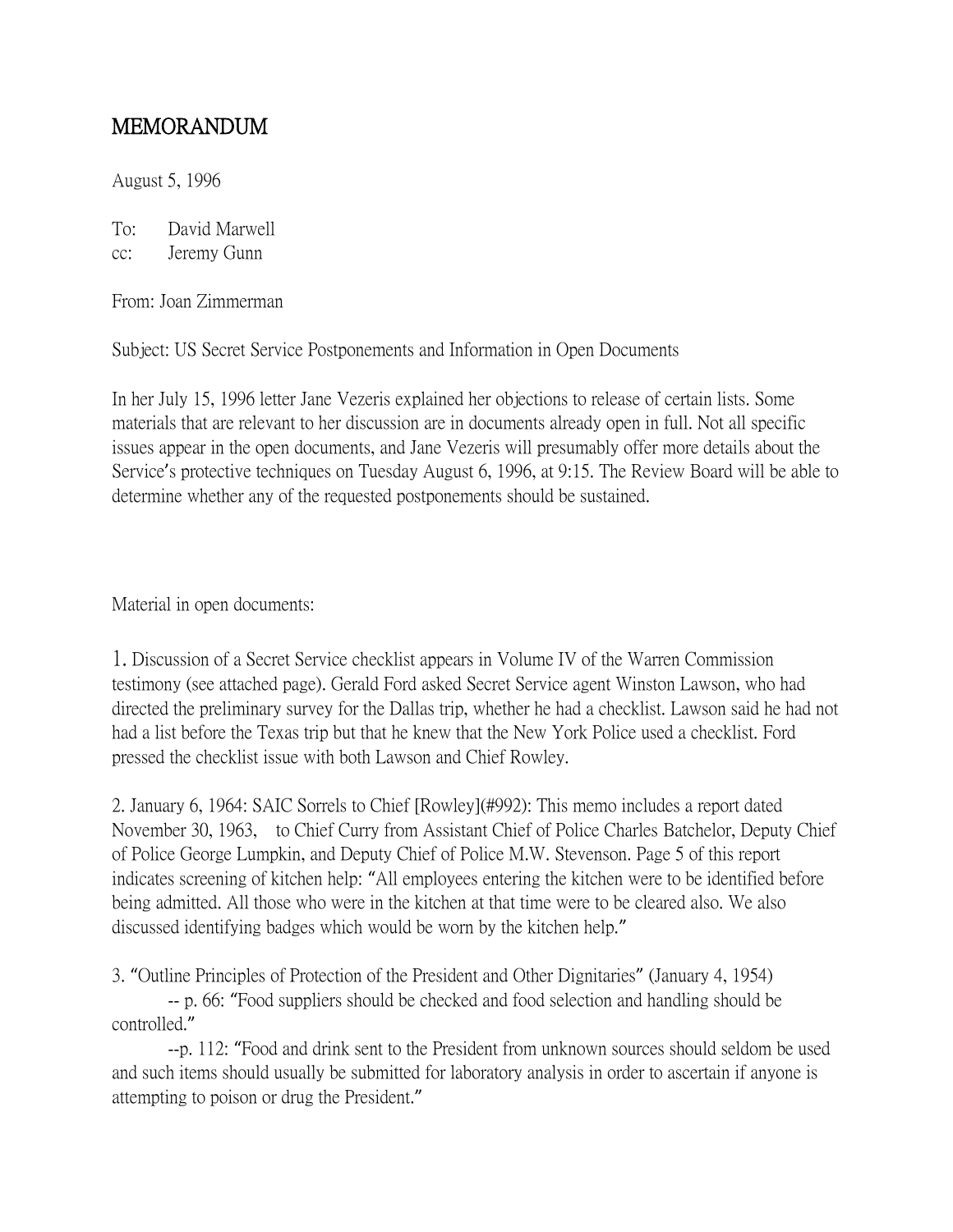## MEMORANDUM

August 5, 1996

To: David Marwell

cc: Jeremy Gunn

From: Joan Zimmerman

Subject: US Secret Service Postponements and Information in Open Documents

In her July 15, 1996 letter Jane Vezeris explained her objections to release of certain lists. Some materials that are relevant to her discussion are in documents already open in full. Not all specific issues appear in the open documents, and Jane Vezeris will presumably offer more details about the Service's protective techniques on Tuesday August 6, 1996, at 9:15. The Review Board will be able to determine whether any of the requested postponements should be sustained.

Material in open documents:

1. Discussion of a Secret Service checklist appears in Volume IV of the Warren Commission testimony (see attached page). Gerald Ford asked Secret Service agent Winston Lawson, who had directed the preliminary survey for the Dallas trip, whether he had a checklist. Lawson said he had not had a list before the Texas trip but that he knew that the New York Police used a checklist. Ford pressed the checklist issue with both Lawson and Chief Rowley.

2. January 6, 1964: SAIC Sorrels to Chief [Rowley](#992): This memo includes a report dated November 30, 1963, to Chief Curry from Assistant Chief of Police Charles Batchelor, Deputy Chief of Police George Lumpkin, and Deputy Chief of Police M.W. Stevenson. Page 5 of this report indicates screening of kitchen help: "All employees entering the kitchen were to be identified before being admitted. All those who were in the kitchen at that time were to be cleared also. We also discussed identifying badges which would be worn by the kitchen help."

3. "Outline Principles of Protection of the President and Other Dignitaries" (January 4, 1954)

-- p. 66: "Food suppliers should be checked and food selection and handling should be controlled."

--p. 112: "Food and drink sent to the President from unknown sources should seldom be used and such items should usually be submitted for laboratory analysis in order to ascertain if anyone is attempting to poison or drug the President."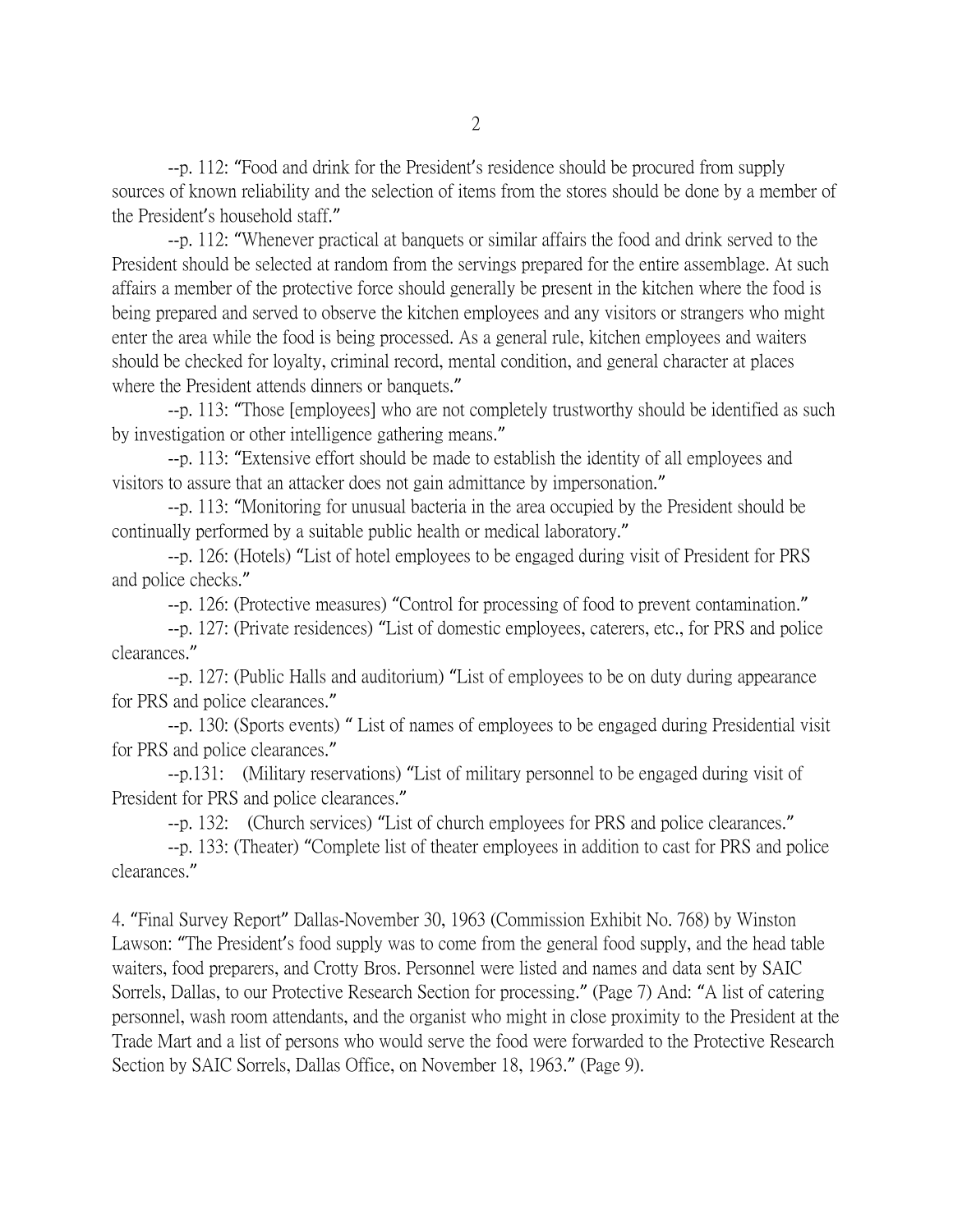--p. 112: "Food and drink for the President's residence should be procured from supply sources of known reliability and the selection of items from the stores should be done by a member of the President's household staff."

--p. 112: "Whenever practical at banquets or similar affairs the food and drink served to the President should be selected at random from the servings prepared for the entire assemblage. At such affairs a member of the protective force should generally be present in the kitchen where the food is being prepared and served to observe the kitchen employees and any visitors or strangers who might enter the area while the food is being processed. As a general rule, kitchen employees and waiters should be checked for loyalty, criminal record, mental condition, and general character at places where the President attends dinners or banquets."

--p. 113: "Those [employees] who are not completely trustworthy should be identified as such by investigation or other intelligence gathering means."

--p. 113: "Extensive effort should be made to establish the identity of all employees and visitors to assure that an attacker does not gain admittance by impersonation."

--p. 113: "Monitoring for unusual bacteria in the area occupied by the President should be continually performed by a suitable public health or medical laboratory."

--p. 126: (Hotels) "List of hotel employees to be engaged during visit of President for PRS and police checks."

--p. 126: (Protective measures) "Control for processing of food to prevent contamination."

--p. 127: (Private residences) "List of domestic employees, caterers, etc., for PRS and police clearances."

--p. 127: (Public Halls and auditorium) "List of employees to be on duty during appearance for PRS and police clearances."

--p. 130: (Sports events) " List of names of employees to be engaged during Presidential visit for PRS and police clearances."

--p.131: (Military reservations) "List of military personnel to be engaged during visit of President for PRS and police clearances."

--p. 132: (Church services) "List of church employees for PRS and police clearances."

--p. 133: (Theater) "Complete list of theater employees in addition to cast for PRS and police clearances."

4. "Final Survey Report" Dallas-November 30, 1963 (Commission Exhibit No. 768) by Winston Lawson: "The President's food supply was to come from the general food supply, and the head table waiters, food preparers, and Crotty Bros. Personnel were listed and names and data sent by SAIC Sorrels, Dallas, to our Protective Research Section for processing." (Page 7) And: "A list of catering personnel, wash room attendants, and the organist who might in close proximity to the President at the Trade Mart and a list of persons who would serve the food were forwarded to the Protective Research Section by SAIC Sorrels, Dallas Office, on November 18, 1963." (Page 9).